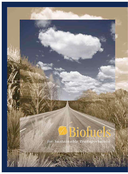# Biofuels

*for Sustainable Transportation*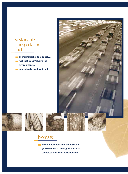## sustainable transportation fuel:

- **an inexhaustible fuel supply…**
- **fuel that doesn't harm the** 
	-











# biomass: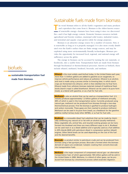## biofuels:



## Sustainable fuels made from biomass

**T** he word *biomass* refers to all the Earth's vegetation and many products and coproducts that come from it. Biomass is the oldest known source of renewable energy—humans have been using it since we discovered fire—and it has high energy content. Domestic biomass resources include agricultural and forestry residues, municipal solid wastes, industrial wastes, and terrestrial and aquatic crops grown solely for energy purposes.

Biomass is an attractive energy source for a number of reasons. First, it is renewable as long as it is properly managed. It is also more evenly distributed over the Earth's surface than are finite energy sources, and may be exploited using more environmentally friendly technologies. Biomass provides the opportunity for increased local, regional, and national energy selfsufficiency across the globe.

The energy in biomass can be accessed by turning the raw materials, or feedstocks, into a usable form. Transportation fuels are made from biomass through biochemical or thermochemical processes. Known as biofuels, these include ethanol, methanol, biodiesel, biocrude, and methane.

**Ethanol** is the most widely used biofuel today. In the United States each year, more than 1.5 billion gallons are added to gasoline as an oxygenate, to improve vehicle performance and reduce air pollution. Ethanol is an alcohol, and most is made using a process similar to brewing beer, in which starch crops are fermented into ethanol, which is then distilled into its final form. Ethanol made from cellulosic biomass materials instead of traditional feedstocks (starch crops) is called bioethanol. Ethanol can be used in its pure form (neat), as a blend with gasoline, or as a fuel for fuel cells.

**Methanol** is also an alcohol that can be used as a transportation fuel. U.S. industry produces approximately 1.2 billion gallons of methanol annually, 38% of which is used in the transportation sector. Currently produced using natural gas, methanol can be produced from biomass through a two-step thermochemical process. First the biomass is gasified to produce hydrogen and carbon monoxide. These gases are then reacted to produce methanol. Methanol can be used in its pure form (neat), as a feedstock for the gasoline additive methyl tertiary butyl ether (MTBE), or as fuel for fuel cells.

**Biodiesel** is a renewable diesel fuel substitute that can be made by chemically combining any natural oil or fat with an alcohol (usually methanol). Many vegetable oils, animal fats, and recycled cooking greases can be transformed into biodiesel and there are many different ways to do it. Biodiesel can be used neat or as a diesel additive and is typically used as a fuel additive in 20% blends (B20) with petroleum diesel in compression ignition (diesel) engines. Other blend levels can be used depending on the cost of the fuel and the desired benefits.

**Biocrude** is a product similar to petroleum crude and can be produced from biomass using a fast pyrolysis process. Biocrude is formed when the biomassderived oil vapors are condensed. Catalytic cracking then converts biocrude into transportation fuels.

**Methane** is the major component of compressed natural gas—an alternative transportation fuel, of which approximately 100 million gallons will be sold in the United States in 2000. Methane, in a blend of other gases, can be produced from biomass by a biochemical process called anaerobic digestion.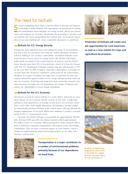## The need for biofuels

everal compelling issues drive a national effort to develop and improve technology to make biofuels. Our dependence on petroleum for fueling the transportation sector threatens our energy security, affects our environment, and weakens our economy. Developing the technology to produce and use biofuels will create transportation fuel options that can positively impact these issues and establish safe, clean, sustainable alternatives to petroleum.

### ■ **Biofuels for U.S. Energy Security**

Perhaps the most important issue surrounding the status of our transportation fuel is that no one knows how long the world's petroleum resources will last. Adding to our country's vulnerability, our limited domestic petroleum resources do not meet our energy needs. The Persian Gulf region holds nearly two-thirds of the world's known oil reserves, and the United States imports more than 53% of its petroleum—much of it from the Persian Gulf. The U.S. Department of Energy estimates that this will increase to 75% by the year 2010. In 1990, Congress voted that a dependence on foreign oil of more than 50% should be considered a peril point for the United States. Members of Congress recognize that high levels of imported oil leave our country defenseless against sudden severe energy disruptions that could capsize our economy. Producing and using fuels from renewable, domestic biomass resources can help ease our dependence on foreign oil imports and reduce our vulnerability to severe energy disruptions.

#### ■ **Biofuels for the U.S. Economy**

Oil imports account for almost half the U.S. trade deficit, which has an enormous impact on our economy and the creation of new jobs. A high trade imbalance from dependence on foreign oil also leaves our economy vulnerable to price hikes from supply disruptions. Developing a stronger market for domestically produced biofuels in the United States will help alleviate the negative implications of our trade deficit and contribute to positive economic trends in the U.S. transportation sector.

Currently, the ethanol industry is responsible for approximately 200,000 jobs. Between 1996 and 2000, the ethanol industry added approximately \$51 billion to the U.S. economy. Ethanol production creates domestic jobs in plant construction, operation, maintenance, and support in the surrounding communities. This can have a profound impact on rural America, where a decline in employment has placed increasing burdens on our cities, infrastructure, and tax base.



**Transportation is a major contributor to a number of environmental problems, imarily because of our dependence** 





**Production of biofuels will create new** *b* **opportunities for rural Americans a new market for crops and agricultural by-products.**





**By 2010, oil imports are projected to rise to 75% of the total U.S. supply. Biofuels can help reduce our use of foreign oil.**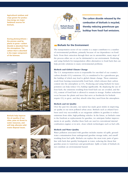**Agricultural residues and crops grown for producing energy are major feedstock sources for biofuels.**

**During photosynthesis the process used by plants to grow—carbon dioxide is absorbed from the atmosphere. The carbon that is absorbed is the major component of the biomass.** 





**Biofuels help improve the air quality of our cities, pose no threat to water resources, and will help alleviate solid waste disposal issues.**









**The carbon dioxide released by the combustion of biofuels is recycled, thereby reducing greenhouse gas buildup from fossil fuel emissions.**

## ■ **Biofuels for the Environment**

The transportation sector of our country is a major contributor to a number of environmental problems, primarily because of our dependence on fossil fuels. From their extraction through their use in automobiles, many steps of the process either are or can be detrimental to our environment. Producing and using biofuels for transportation offers alternatives to fossil fuels that can help provide solutions to many environmental problems.

#### **Biofuels and Global Climate Change**

The U.S. transportation sector is responsible for one-third of our country's carbon dioxide  $(CO_2)$  emissions.  $CO_2$  is considered to be a greenhouse gas, the buildup of which may lead to global climate change. These emissions result from burning nonrenewable fossil fuels, which releases their carbon content into the atmosphere as  $CO<sub>2</sub>$ . Producing and using biofuels for transportation can help reduce  $CO<sub>2</sub>$  buildup significantly. By displacing the use of fossi fuels, the emissions resulting from fossil fuels use are avoided, and the  $CO<sub>2</sub>$  content of fossil fuels is allowed to remain in storage. Further reductions occur because the plants and trees that serve as feedstocks for biofuels require  $CO<sub>2</sub>$  to grow, and they absorb what they need from the atmosphere.

#### **Biofuels and Air Quality**

Over the past two decades, our nation has made great strides in improving air quality in our most polluted urban areas. Biofuels such as ethanol have been used very successfully as an oxygenate additive in gasoline to reduce emissions from older, high-polluting vehicles. In the future, as biofuels come to the forefront as replacements for gasoline, we anticipate further improvements in air quality, whether these fuels are used in conventional internal combustion engines or in new, clean vehicle technologies such as fuel cells.

#### **Biofuels and Water Quality**

Water pollution associated with gasoline includes marine oil spills, groundwater contamination from underground gasoline storage tanks, and runoff resulting from fuel spills. Biofuels can replace the most toxic parts of gasoline with fuels that quickly biodegrade in water, reducing the threat that gasoline poses to waterways and groundwater. Spills or leaks of biofuels do not constitute an environmental hazard.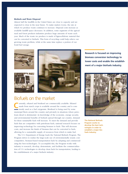#### **Biofuels and Waste Disposal**

Almost half the landfills in the United States are close to capacity and are expected to close in the near future. To make matters worse, the rate at which we produce waste continues to increase. Disposal costs increase as available landfill space decreases. In addition, some segments of the agricultural and forest products industries produce huge amounts of waste each year. Much of the waste we produce is made of lignocellulosic material that can be converted to biofuels. This form of recycling could help relieve our growing waste problem, while at the same time replace a portion of our fossil fuel useage.







## Biofuels on the market

**Currently, ethanol and biodiesel are commercially available. Ethanol made from starch crops is available around the country and is commonly used as a fuel oxygenate. Biodiesel is being used by some** made from starch crops is available around the country and is commonly used as a fuel oxygenate. Biodiesel is being used by some municipal fleets around the country and privately in situations where petroleum diesel is detrimental. As knowledge of the economic, energy security, and environmental benefits of biofuels spread through our country, demand for these sustainable fuels will increase. To meet the demand and provide fuels that are competitive with petroleum fuels, national research focuses on improving technology for converting biomass to fuels. This will decrease costs, and increase the kinds of biomass that can be converted to fuels, allowing for a sustainable supply of resources from which to make fuel.

The U.S. Department of Energy leads the National Biofuels Program. The Program strives to realize the large-scale use of environmentally sound, costcompetitive, biomass-based transportation fuels by adopting and commercializing the best technologies. To accomplish this, the Program works with industry to research, develop, demonstrate, and facilitate the commercialization of U.S. technologies to develop clean fuels for transportation, leading to the establishment of a major biofuels industry.

**Research is focused on improving biomass conversion technology to** sts and enable the establish**of a major biofuels industry.** 



**The National Biofuels Program works to develop the best technologies in order to establish a major biofuels industry.**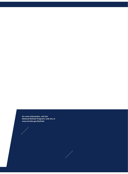**For more information, visit the National Biofuels Program's web site at www.ott.doe.gov/biofuels**